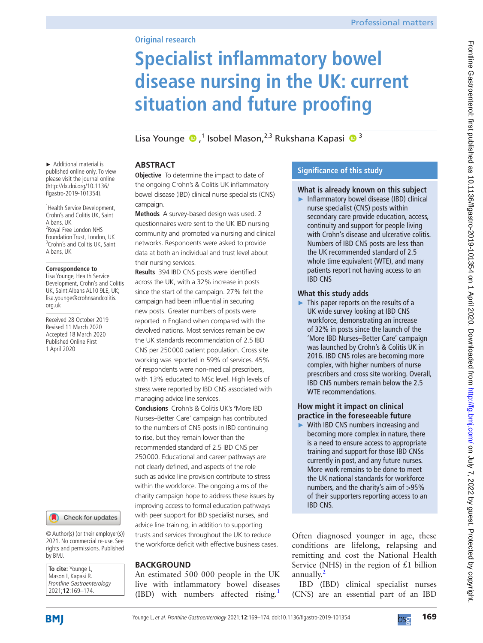## **Original research**

# **Specialist inflammatory bowel disease nursing in the UK: current situation and future proofing**

Lisa Younge <sup>®</sup>,<sup>1</sup> Isobel Mason,<sup>2,3</sup> Rukshana Kapasi <sup>®</sup><sup>3</sup>

# **Abstract**

**Objective** To determine the impact to date of the ongoing Crohn's & Colitis UK inflammatory bowel disease (IBD) clinical nurse specialists (CNS) campaign.

**Methods** A survey-based design was used. 2 questionnaires were sent to the UK IBD nursing community and promoted via nursing and clinical networks. Respondents were asked to provide data at both an individual and trust level about their nursing services.

**Results** 394 IBD CNS posts were identified across the UK, with a 32% increase in posts since the start of the campaign. 27% felt the campaign had been influential in securing new posts. Greater numbers of posts were reported in England when compared with the devolved nations. Most services remain below the UK standards recommendation of 2.5 IBD CNS per 250000 patient population. Cross site working was reported in 59% of services. 45% of respondents were non-medical prescribers, with 13% educated to MSc level. High levels of stress were reported by IBD CNS associated with managing advice line services.

**Conclusions** Crohn's & Colitis UK's **'**More IBD Nurses–Better Care' campaign has contributed to the numbers of CNS posts in IBD continuing to rise, but they remain lower than the recommended standard of 2.5 IBD CNS per 250000. Educational and career pathways are not clearly defined, and aspects of the role such as advice line provision contribute to stress within the workforce. The ongoing aims of the charity campaign hope to address these issues by improving access to formal education pathways with peer support for IBD specialist nurses, and advice line training, in addition to supporting trusts and services throughout the UK to reduce the workforce deficit with effective business cases.

# **BACKGROUND**

An estimated 500 000 people in the UK live with inflammatory bowel diseases  $(IBD)$  with numbers affected rising.<sup>[1](#page-5-0)</sup>

# **Significance of this study**

## **What is already known on this subject**

► Inflammatory bowel disease (IBD) clinical nurse specialist (CNS) posts within secondary care provide education, access, continuity and support for people living with Crohn's disease and ulcerative colitis. Numbers of IBD CNS posts are less than the UK recommended standard of 2.5 whole time equivalent (WTE), and many patients report not having access to an IBD CNS

## **What this study adds**

► This paper reports on the results of a UK wide survey looking at IBD CNS workforce, demonstrating an increase of 32% in posts since the launch of the 'More IBD Nurses–Better Care' campaign was launched by Crohn's & Colitis UK in 2016. IBD CNS roles are becoming more complex, with higher numbers of nurse prescribers and cross site working. Overall, IBD CNS numbers remain below the 2.5 WTE recommendations.

# **How might it impact on clinical practice in the foreseeable future**

With IBD CNS numbers increasing and becoming more complex in nature, there is a need to ensure access to appropriate training and support for those IBD CNSs currently in post, and any future nurses. More work remains to be done to meet the UK national standards for workforce numbers, and the charity's aim of >95% of their supporters reporting access to an IBD CNS.

Often diagnosed younger in age, these conditions are lifelong, relapsing and remitting and cost the National Health Service (NHS) in the region of  $£1$  billion annually. $^{2}$  $^{2}$  $^{2}$ 

IBD (IBD) clinical specialist nurses (CNS) are an essential part of an IBD

► Additional material is published online only. To view please visit the journal online (http://dx.doi.org/10.1136/ flgastro-2019-101354).

1 Health Service Development, Crohn's and Colitis UK, Saint Albans, UK 2 Royal Free London NHS Foundation Trust, London, UK <sup>3</sup> Crohn's and Colitis UK, Saint Albans, UK

#### **Correspondence to**

Lisa Younge, Health Service Development, Crohn's and Colitis UK, Saint Albans AL10 9LE, UK; lisa.younge@crohnsandcolitis. org.uk

Received 28 October 2019 Revised 11 March 2020 Accepted 18 March 2020 Published Online First 1 April 2020



© Author(s) (or their employer(s)) 2021. No commercial re-use. See rights and permissions. Published by BMJ.

**To cite:** Younge L, Mason I, Kapasi R. Frontline Gastroenterology 2021;**12**:169–174.

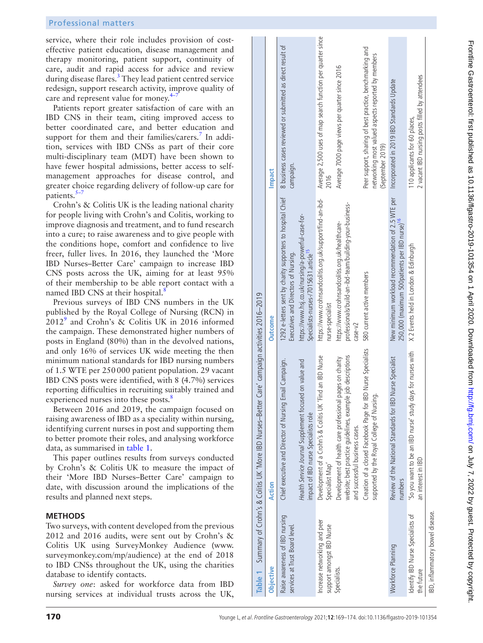## Professional matters

service, where their role includes provision of costeffective patient education, disease management and therapy monitoring, patient support, continuity of care, audit and rapid access for advice and review during disease flares.<sup>3</sup> They lead patient centred service redesign, support research activity, improve quality of care and represent value for money. $4\frac{1}{2}$ 

Patients report greater satisfaction of care with an IBD CNS in their team, citing improved access to better coordinated care, and better education and support for them and their families/carers.<sup>7</sup> In addition, services with IBD CNSs as part of their core multi-disciplinary team (MDT) have been shown to have fewer hospital admissions, better access to selfmanagement approaches for disease control, and greater choice regarding delivery of follow-up care for patients. $5-$ 

Crohn's & Colitis UK is the leading national charity for people living with Crohn's and Colitis, working to improve diagnosis and treatment, and to fund research into a cure; to raise awareness and to give people with the conditions hope, comfort and confidence to live freer, fuller lives. In 2016, they launched the 'More IBD Nurses–Better Care' campaign to increase IBD CNS posts across the UK, aiming for at least 95% of their membership to be able report contact with a named IBD CNS at their hospital.<sup>8</sup>

Previous surveys of IBD CNS numbers in the UK published by the Royal College of Nursing (RCN) in  $2012<sup>9</sup>$  $2012<sup>9</sup>$  $2012<sup>9</sup>$  and Crohn's & Colitis UK in 2016 informed the campaign. These demonstrated higher numbers of posts in England (80%) than in the devolved nations, and only 16% of services UK wide meeting the then minimum national standards for IBD nursing numbers of 1.5 WTE per 250000 patient population. 29 vacant IBD CNS posts were identified, with 8 (4.7%) services reporting difficulties in recruiting suitably trained and experienced nurses into these posts.<sup>[8](#page-5-8)</sup>

Between 2016 and 2019, the campaign focused on raising awareness of IBD as a speciality within nursing, identifying current nurses in post and supporting them to better promote their roles, and analysing workforce data, as summarised in [table](#page-1-0) 1.

This paper outlines results from surveys conducted by Crohn's & Colitis UK to measure the impact of their 'More IBD Nurses–Better Care' campaign to date, with discussion around the implications of the results and planned next steps.

# **Methods**

Two surveys, with content developed from the previous 2012 and 2016 audits, were sent out by Crohn's & Colitis UK using SurveyMonkey Audience [\(www.](www.surveymonkey.com/mp/audience) [surveymonkey.com/mp/audience](www.surveymonkey.com/mp/audience)) at the end of 2018 to IBD CNSs throughout the UK, using the charities database to identify contacts.

<span id="page-1-0"></span>*Survey one*: asked for workforce data from IBD nursing services at individual trusts across the UK,

| https://www.hsj.co.uk/nursing/a-powerful-case-for-<br>250,000 (maximum 500patients per IBD nurse) <sup>16</sup><br>https://www.crohnsandcolitis.org.uk/healthcare-<br>Specialists-nurses-/7015631.article <sup>15</sup><br>Executives and Directors of Nursing.<br>Creation of a closed Facebook Page for IBD Nurse Specialists 580 current active members<br>nurse-specialist<br>$case-V2$<br>an IBD Nurse<br>website; best practice guidelines, example job descriptions<br>Review of the National Standards for IBD Nurse Specialist<br>es on charity<br>Chief executive and Director of Nursing Email Campaign.<br>Health Service Journal Supplement focused on value and<br>Development of health care professional pag-<br>Development of a Crohn's & Colitis UK 'Find<br>supported by the Royal College of Nursing.<br>impact of IBD nurse Specialists role<br>and successful business cases.<br>Specialist Map'<br>numbers<br>Raise awareness of IBD nursing<br>increase networking and peer<br>support amongst IBD Nurse<br>services at Trust Board level.<br>Workforce Planning<br>Specialists. |                                                             |                                                             | <b>Impact</b>                                                                                                                      |
|-----------------------------------------------------------------------------------------------------------------------------------------------------------------------------------------------------------------------------------------------------------------------------------------------------------------------------------------------------------------------------------------------------------------------------------------------------------------------------------------------------------------------------------------------------------------------------------------------------------------------------------------------------------------------------------------------------------------------------------------------------------------------------------------------------------------------------------------------------------------------------------------------------------------------------------------------------------------------------------------------------------------------------------------------------------------------------------------------------------|-------------------------------------------------------------|-------------------------------------------------------------|------------------------------------------------------------------------------------------------------------------------------------|
|                                                                                                                                                                                                                                                                                                                                                                                                                                                                                                                                                                                                                                                                                                                                                                                                                                                                                                                                                                                                                                                                                                           |                                                             | 1292 e-letters sent by charity supporters to hospital Chief | 8 business cases reviewed or submitted as direct result of<br>campaign.                                                            |
|                                                                                                                                                                                                                                                                                                                                                                                                                                                                                                                                                                                                                                                                                                                                                                                                                                                                                                                                                                                                                                                                                                           |                                                             |                                                             |                                                                                                                                    |
|                                                                                                                                                                                                                                                                                                                                                                                                                                                                                                                                                                                                                                                                                                                                                                                                                                                                                                                                                                                                                                                                                                           |                                                             | https://www.crohnsandcolitis.org.uk/support/find-an-ibd-    | Average 2,500 uses of map search function per quarter since<br>2016                                                                |
|                                                                                                                                                                                                                                                                                                                                                                                                                                                                                                                                                                                                                                                                                                                                                                                                                                                                                                                                                                                                                                                                                                           |                                                             | professionals/build-an-ibd-team/building-your-business-     | Average 7000 page views per quarter since 2016                                                                                     |
|                                                                                                                                                                                                                                                                                                                                                                                                                                                                                                                                                                                                                                                                                                                                                                                                                                                                                                                                                                                                                                                                                                           |                                                             |                                                             | Peer support, sharing of best practice, benchmarking and<br>networking most valued aspects reported by members<br>(September 2019) |
|                                                                                                                                                                                                                                                                                                                                                                                                                                                                                                                                                                                                                                                                                                                                                                                                                                                                                                                                                                                                                                                                                                           |                                                             | New minimum workload recommendation of 2.5 WTE per          | Incorporated in 2019 IBD Standards Update                                                                                          |
| X 2 Events held in London & Edinburgh<br>an interest in IBD<br>Identify IBD Nurse Specialists of<br>the tuture                                                                                                                                                                                                                                                                                                                                                                                                                                                                                                                                                                                                                                                                                                                                                                                                                                                                                                                                                                                            | 'So you want to be an IBD nurse' study days for nurses with |                                                             | 2 vacant IBD nursing posts filled by attendees<br>110 applicants for 60 places,                                                    |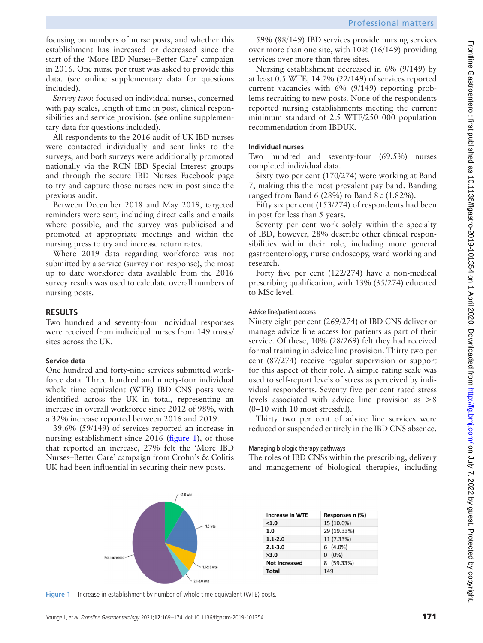focusing on numbers of nurse posts, and whether this establishment has increased or decreased since the start of the 'More IBD Nurses–Better Care' campaign in 2016. One nurse per trust was asked to provide this data. (see [online supplementary data](https://dx.doi.org/10.1136/flgastro-2019-101354) for questions included).

*Survey two*: focused on individual nurses, concerned with pay scales, length of time in post, clinical responsibilities and service provision. (see [online supplemen](https://dx.doi.org/10.1136/flgastro-2019-101354)[tary data](https://dx.doi.org/10.1136/flgastro-2019-101354) for questions included).

All respondents to the 2016 audit of UK IBD nurses were contacted individually and sent links to the surveys, and both surveys were additionally promoted nationally via the RCN IBD Special Interest groups and through the secure IBD Nurses Facebook page to try and capture those nurses new in post since the previous audit.

Between December 2018 and May 2019, targeted reminders were sent, including direct calls and emails where possible, and the survey was publicised and promoted at appropriate meetings and within the nursing press to try and increase return rates.

Where 2019 data regarding workforce was not submitted by a service (survey non-response), the most up to date workforce data available from the 2016 survey results was used to calculate overall numbers of nursing posts.

### **Results**

Two hundred and seventy-four individual responses were received from individual nurses from 149 trusts/ sites across the UK.

## **Service data**

One hundred and forty-nine services submitted workforce data. Three hundred and ninety-four individual whole time equivalent (WTE) IBD CNS posts were identified across the UK in total, representing an increase in overall workforce since 2012 of 98%, with a 32% increase reported between 2016 and 2019.

39.6% (59/149) of services reported an increase in nursing establishment since 2016 ([figure](#page-2-0) 1), of those that reported an increase, 27% felt the 'More IBD Nurses–Better Care' campaign from Crohn's & Colitis UK had been influential in securing their new posts.

59% (88/149) IBD services provide nursing services over more than one site, with 10% (16/149) providing services over more than three sites.

Nursing establishment decreased in 6% (9/149) by at least 0.5 WTE, 14.7% (22/149) of services reported current vacancies with 6% (9/149) reporting problems recruiting to new posts. None of the respondents reported nursing establishments meeting the current minimum standard of 2.5 WTE/250 000 population recommendation from IBDUK.

## **Individual nurses**

Two hundred and seventy-four (69.5%) nurses completed individual data.

Sixty two per cent (170/274) were working at Band 7, making this the most prevalent pay band. Banding ranged from Band 6 (28%) to Band 8c (1.82%).

Fifty six per cent (153/274) of respondents had been in post for less than 5 years.

Seventy per cent work solely within the specialty of IBD, however, 28% describe other clinical responsibilities within their role, including more general gastroenterology, nurse endoscopy, ward working and research.

Forty five per cent (122/274) have a non-medical prescribing qualification, with 13% (35/274) educated to MSc level.

#### Advice line/patient access

Ninety eight per cent (269/274) of IBD CNS deliver or manage advice line access for patients as part of their service. Of these, 10% (28/269) felt they had received formal training in advice line provision. Thirty two per cent (87/274) receive regular supervision or support for this aspect of their role. A simple rating scale was used to self-report levels of stress as perceived by individual respondents. Seventy five per cent rated stress levels associated with advice line provision as >8 (0–10 with 10 most stressful).

Thirty two per cent of advice line services were reduced or suspended entirely in the IBD CNS absence.

#### Managing biologic therapy pathways

The roles of IBD CNSs within the prescribing, delivery and management of biological therapies, including

<span id="page-2-0"></span>

**Figure 1** Increase in establishment by number of whole time equivalent (WTE) posts.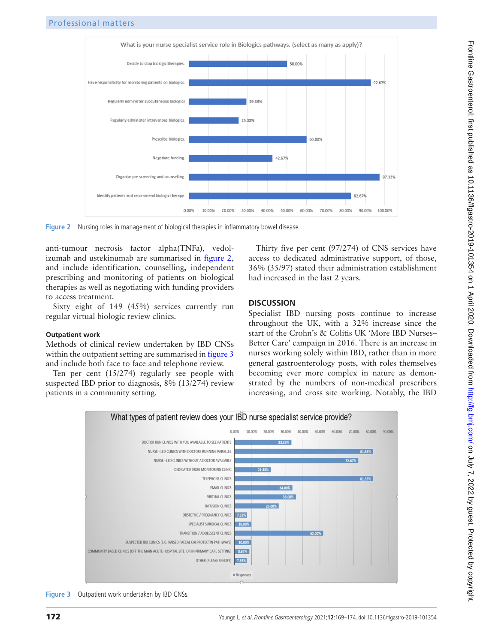



<span id="page-3-0"></span>**Figure 2** Nursing roles in management of biological therapies in inflammatory bowel disease.

anti-tumour necrosis factor alpha(TNFa), vedolizumab and ustekinumab are summarised in [figure](#page-3-0) 2, and include identification, counselling, independent prescribing and monitoring of patients on biological therapies as well as negotiating with funding providers to access treatment.

Sixty eight of 149 (45%) services currently run regular virtual biologic review clinics.

#### **Outpatient work**

Methods of clinical review undertaken by IBD CNSs within the outpatient setting are summarised in [figure](#page-3-1) 3 and include both face to face and telephone review.

Ten per cent (15/274) regularly see people with suspected IBD prior to diagnosis, 8% (13/274) review patients in a community setting.

Thirty five per cent (97/274) of CNS services have access to dedicated administrative support, of those, 36% (35/97) stated their administration establishment had increased in the last 2 years.

#### **Discussion**

Specialist IBD nursing posts continue to increase throughout the UK, with a 32% increase since the start of the Crohn's & Colitis UK 'More IBD Nurses– Better Care' campaign in 2016. There is an increase in nurses working solely within IBD, rather than in more general gastroenterology posts, with roles themselves becoming ever more complex in nature as demonstrated by the numbers of non-medical prescribers increasing, and cross site working. Notably, the IBD



<span id="page-3-1"></span>**Figure 3** Outpatient work undertaken by IBD CNSs.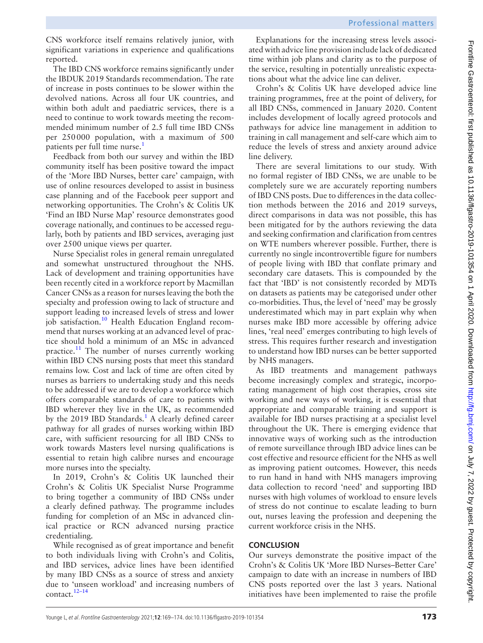CNS workforce itself remains relatively junior, with significant variations in experience and qualifications reported.

The IBD CNS workforce remains significantly under the IBDUK 2019 Standards recommendation. The rate of increase in posts continues to be slower within the devolved nations. Across all four UK countries, and within both adult and paediatric services, there is a need to continue to work towards meeting the recommended minimum number of 2.5 full time IBD CNSs per 250000 population, with a maximum of 500 patients per full time nurse.<sup>[1](#page-5-0)</sup>

Feedback from both our survey and within the IBD community itself has been positive toward the impact of the 'More IBD Nurses, better care' campaign, with use of online resources developed to assist in business case planning and of the Facebook peer support and networking opportunities. The Crohn's & Colitis UK 'Find an IBD Nurse Map' resource demonstrates good coverage nationally, and continues to be accessed regularly, both by patients and IBD services, averaging just over 2500 unique views per quarter.

Nurse Specialist roles in general remain unregulated and somewhat unstructured throughout the NHS. Lack of development and training opportunities have been recently cited in a workforce report by Macmillan Cancer CNSs as a reason for nurses leaving the both the specialty and profession owing to lack of structure and support leading to increased levels of stress and lower job satisfaction.<sup>[10](#page-5-10)</sup> Health Education England recommend that nurses working at an advanced level of practice should hold a minimum of an MSc in advanced practice.<sup>[11](#page-5-11)</sup> The number of nurses currently working within IBD CNS nursing posts that meet this standard remains low. Cost and lack of time are often cited by nurses as barriers to undertaking study and this needs to be addressed if we are to develop a workforce which offers comparable standards of care to patients with IBD wherever they live in the UK, as recommended by the 2019 IBD Standards.<sup>1</sup> A clearly defined career pathway for all grades of nurses working within IBD care, with sufficient resourcing for all IBD CNSs to work towards Masters level nursing qualifications is essential to retain high calibre nurses and encourage more nurses into the specialty.

In 2019, Crohn's & Colitis UK launched their Crohn's & Colitis UK Specialist Nurse Programme to bring together a community of IBD CNSs under a clearly defined pathway. The programme includes funding for completion of an MSc in advanced clinical practice or RCN advanced nursing practice credentialing.

While recognised as of great importance and benefit to both individuals living with Crohn's and Colitis, and IBD services, advice lines have been identified by many IBD CNSs as a source of stress and anxiety due to 'unseen workload' and increasing numbers of contact.[12–14](#page-5-12)

Explanations for the increasing stress levels associated with advice line provision include lack of dedicated time within job plans and clarity as to the purpose of the service, resulting in potentially unrealistic expectations about what the advice line can deliver.

Crohn's & Colitis UK have developed advice line training programmes, free at the point of delivery, for all IBD CNSs, commenced in January 2020. Content includes development of locally agreed protocols and pathways for advice line management in addition to training in call management and self-care which aim to reduce the levels of stress and anxiety around advice line delivery.

There are several limitations to our study. With no formal register of IBD CNSs, we are unable to be completely sure we are accurately reporting numbers of IBD CNS posts. Due to differences in the data collection methods between the 2016 and 2019 surveys, direct comparisons in data was not possible, this has been mitigated for by the authors reviewing the data and seeking confirmation and clarification from centres on WTE numbers wherever possible. Further, there is currently no single incontrovertible figure for numbers of people living with IBD that conflate primary and secondary care datasets. This is compounded by the fact that 'IBD' is not consistently recorded by MDTs on datasets as patients may be categorised under other co-morbidities. Thus, the level of 'need' may be grossly underestimated which may in part explain why when nurses make IBD more accessible by offering advice lines, 'real need' emerges contributing to high levels of stress. This requires further research and investigation to understand how IBD nurses can be better supported by NHS managers.

As IBD treatments and management pathways become increasingly complex and strategic, incorporating management of high cost therapies, cross site working and new ways of working, it is essential that appropriate and comparable training and support is available for IBD nurses practising at a specialist level throughout the UK. There is emerging evidence that innovative ways of working such as the introduction of remote surveillance through IBD advice lines can be cost effective and resource efficient for the NHS as well as improving patient outcomes. However, this needs to run hand in hand with NHS managers improving data collection to record 'need' and supporting IBD nurses with high volumes of workload to ensure levels of stress do not continue to escalate leading to burn out, nurses leaving the profession and deepening the current workforce crisis in the NHS.

# **Conclusion**

Our surveys demonstrate the positive impact of the Crohn's & Colitis UK 'More IBD Nurses–Better Care' campaign to date with an increase in numbers of IBD CNS posts reported over the last 3 years. National initiatives have been implemented to raise the profile